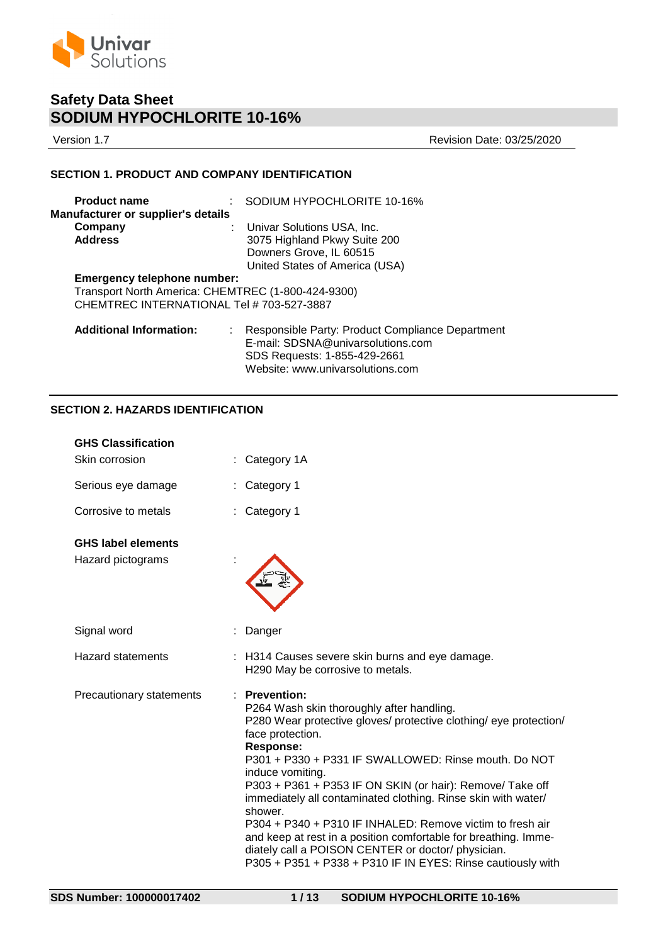

Version 1.7 Revision Date: 03/25/2020

## **SECTION 1. PRODUCT AND COMPANY IDENTIFICATION**

| <b>Product name</b>                       | SODIUM HYPOCHLORITE 10-16%                             |
|-------------------------------------------|--------------------------------------------------------|
| Manufacturer or supplier's details        |                                                        |
| Company                                   | Univar Solutions USA, Inc.                             |
| <b>Address</b>                            | 3075 Highland Pkwy Suite 200                           |
|                                           | Downers Grove, IL 60515                                |
|                                           | United States of America (USA)                         |
| Emergency telephone number:               |                                                        |
|                                           | Transport North America: CHEMTREC (1-800-424-9300)     |
| CHEMTREC INTERNATIONAL Tel # 703-527-3887 |                                                        |
| <b>Additional Information:</b>            | Responsible Party: Product Compliance Department<br>÷. |
|                                           | E-mail: SDSNA@univarsolutions.com                      |
|                                           | SDS Requests: 1-855-429-2661                           |
|                                           | Website: www.univarsolutions.com                       |

# **SECTION 2. HAZARDS IDENTIFICATION**

| <b>GHS Classification</b>                      |                                                                                                                                                                                                                                                                                                                                                                                                                                                                                                                                                                                                                                                        |
|------------------------------------------------|--------------------------------------------------------------------------------------------------------------------------------------------------------------------------------------------------------------------------------------------------------------------------------------------------------------------------------------------------------------------------------------------------------------------------------------------------------------------------------------------------------------------------------------------------------------------------------------------------------------------------------------------------------|
| Skin corrosion                                 | Category 1A                                                                                                                                                                                                                                                                                                                                                                                                                                                                                                                                                                                                                                            |
| Serious eye damage                             | Category 1                                                                                                                                                                                                                                                                                                                                                                                                                                                                                                                                                                                                                                             |
| Corrosive to metals                            | Category 1                                                                                                                                                                                                                                                                                                                                                                                                                                                                                                                                                                                                                                             |
| <b>GHS label elements</b><br>Hazard pictograms |                                                                                                                                                                                                                                                                                                                                                                                                                                                                                                                                                                                                                                                        |
| Signal word                                    | Danger                                                                                                                                                                                                                                                                                                                                                                                                                                                                                                                                                                                                                                                 |
| <b>Hazard statements</b>                       | H314 Causes severe skin burns and eye damage.<br>H290 May be corrosive to metals.                                                                                                                                                                                                                                                                                                                                                                                                                                                                                                                                                                      |
| Precautionary statements                       | <b>Prevention:</b><br>P264 Wash skin thoroughly after handling.<br>P280 Wear protective gloves/ protective clothing/ eye protection/<br>face protection.<br><b>Response:</b><br>P301 + P330 + P331 IF SWALLOWED: Rinse mouth. Do NOT<br>induce vomiting.<br>P303 + P361 + P353 IF ON SKIN (or hair): Remove/ Take off<br>immediately all contaminated clothing. Rinse skin with water/<br>shower.<br>P304 + P340 + P310 IF INHALED: Remove victim to fresh air<br>and keep at rest in a position comfortable for breathing. Imme-<br>diately call a POISON CENTER or doctor/ physician.<br>P305 + P351 + P338 + P310 IF IN EYES: Rinse cautiously with |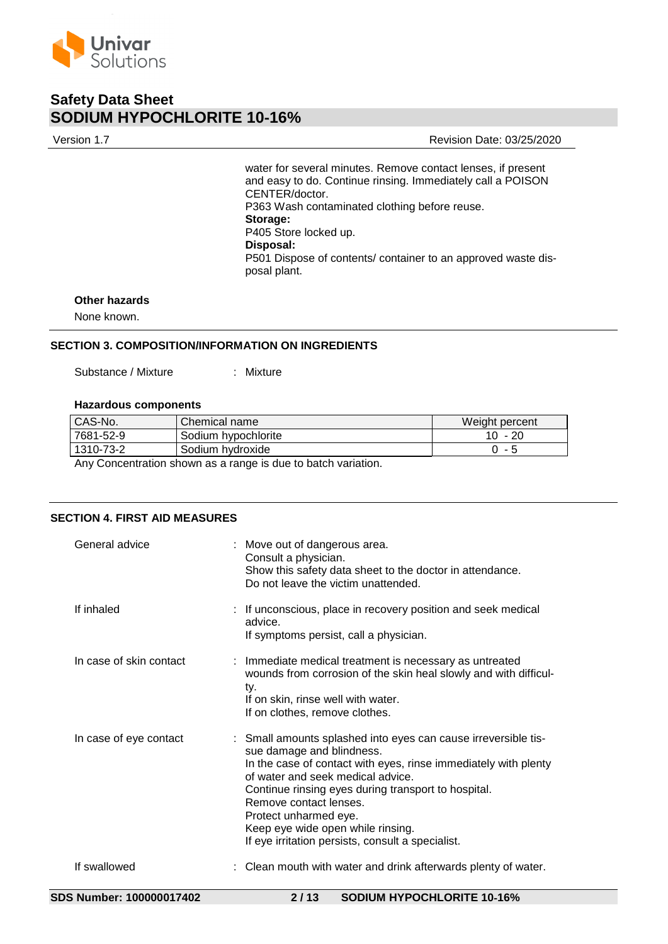

Version 1.7 Revision Date: 03/25/2020

water for several minutes. Remove contact lenses, if present and easy to do. Continue rinsing. Immediately call a POISON CENTER/doctor. P363 Wash contaminated clothing before reuse. **Storage:**  P405 Store locked up. **Disposal:**  P501 Dispose of contents/ container to an approved waste disposal plant.

# **Other hazards**

None known.

# **SECTION 3. COMPOSITION/INFORMATION ON INGREDIENTS**

Substance / Mixture : Mixture

#### **Hazardous components**

| CAS-No.   | Chemical name       | Weight percent |
|-----------|---------------------|----------------|
| 7681-52-9 | Sodium hypochlorite | $10 - 20$      |
| 1310-73-2 | Sodium hydroxide    | - 5            |

Any Concentration shown as a range is due to batch variation.

## **SECTION 4. FIRST AID MEASURES**

| General advice          | : Move out of dangerous area.<br>Consult a physician.<br>Show this safety data sheet to the doctor in attendance.<br>Do not leave the victim unattended.                                                                                                                                                                                                                                                |
|-------------------------|---------------------------------------------------------------------------------------------------------------------------------------------------------------------------------------------------------------------------------------------------------------------------------------------------------------------------------------------------------------------------------------------------------|
| If inhaled              | : If unconscious, place in recovery position and seek medical<br>advice.<br>If symptoms persist, call a physician.                                                                                                                                                                                                                                                                                      |
| In case of skin contact | : Immediate medical treatment is necessary as untreated<br>wounds from corrosion of the skin heal slowly and with difficul-<br>ty.<br>If on skin, rinse well with water.<br>If on clothes, remove clothes.                                                                                                                                                                                              |
| In case of eye contact  | : Small amounts splashed into eyes can cause irreversible tis-<br>sue damage and blindness.<br>In the case of contact with eyes, rinse immediately with plenty<br>of water and seek medical advice.<br>Continue rinsing eyes during transport to hospital.<br>Remove contact lenses.<br>Protect unharmed eye.<br>Keep eye wide open while rinsing.<br>If eye irritation persists, consult a specialist. |
| If swallowed            | : Clean mouth with water and drink afterwards plenty of water.                                                                                                                                                                                                                                                                                                                                          |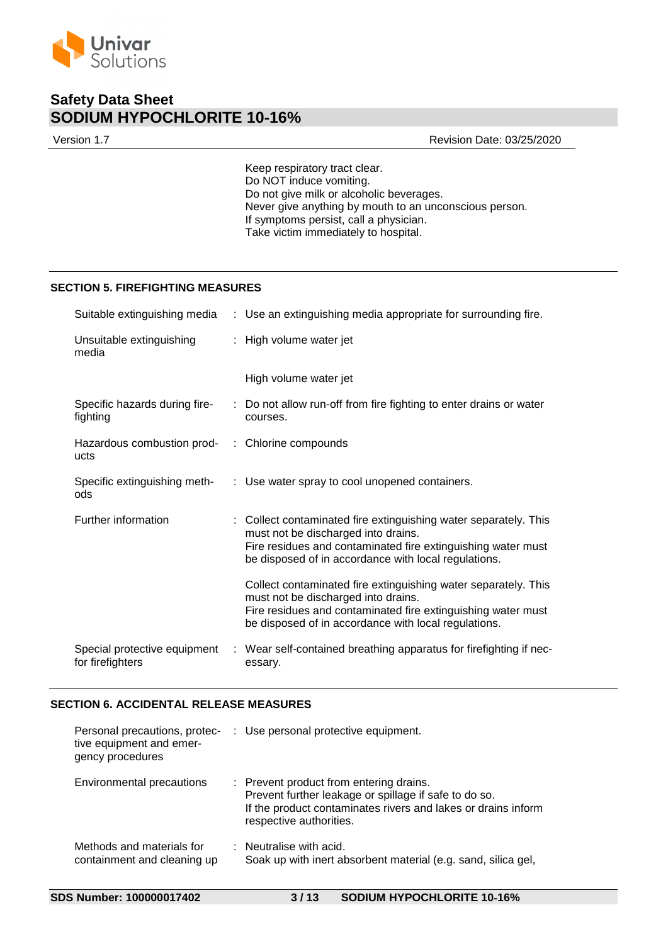

Version 1.7 Revision Date: 03/25/2020

Keep respiratory tract clear. Do NOT induce vomiting. Do not give milk or alcoholic beverages. Never give anything by mouth to an unconscious person. If symptoms persist, call a physician. Take victim immediately to hospital.

### **SECTION 5. FIREFIGHTING MEASURES**

| Suitable extinguishing media                            | : Use an extinguishing media appropriate for surrounding fire.                                                                                                                                                                  |  |
|---------------------------------------------------------|---------------------------------------------------------------------------------------------------------------------------------------------------------------------------------------------------------------------------------|--|
| Unsuitable extinguishing<br>media                       | : High volume water jet                                                                                                                                                                                                         |  |
|                                                         | High volume water jet                                                                                                                                                                                                           |  |
| Specific hazards during fire-<br>fighting               | : Do not allow run-off from fire fighting to enter drains or water<br>courses.                                                                                                                                                  |  |
| Hazardous combustion prod- : Chlorine compounds<br>ucts |                                                                                                                                                                                                                                 |  |
| Specific extinguishing meth-<br>ods                     | : Use water spray to cool unopened containers.                                                                                                                                                                                  |  |
| Further information                                     | : Collect contaminated fire extinguishing water separately. This<br>must not be discharged into drains.<br>Fire residues and contaminated fire extinguishing water must<br>be disposed of in accordance with local regulations. |  |
|                                                         | Collect contaminated fire extinguishing water separately. This<br>must not be discharged into drains.<br>Fire residues and contaminated fire extinguishing water must<br>be disposed of in accordance with local regulations.   |  |
| Special protective equipment<br>for firefighters        | Wear self-contained breathing apparatus for firefighting if nec-<br>essary.                                                                                                                                                     |  |

# **SECTION 6. ACCIDENTAL RELEASE MEASURES**

| Personal precautions, protec-<br>tive equipment and emer-<br>gency procedures | : Use personal protective equipment.                                                                                                                                                         |
|-------------------------------------------------------------------------------|----------------------------------------------------------------------------------------------------------------------------------------------------------------------------------------------|
| Environmental precautions                                                     | : Prevent product from entering drains.<br>Prevent further leakage or spillage if safe to do so.<br>If the product contaminates rivers and lakes or drains inform<br>respective authorities. |
| Methods and materials for<br>containment and cleaning up                      | $\therefore$ Neutralise with acid.<br>Soak up with inert absorbent material (e.g. sand, silica gel,                                                                                          |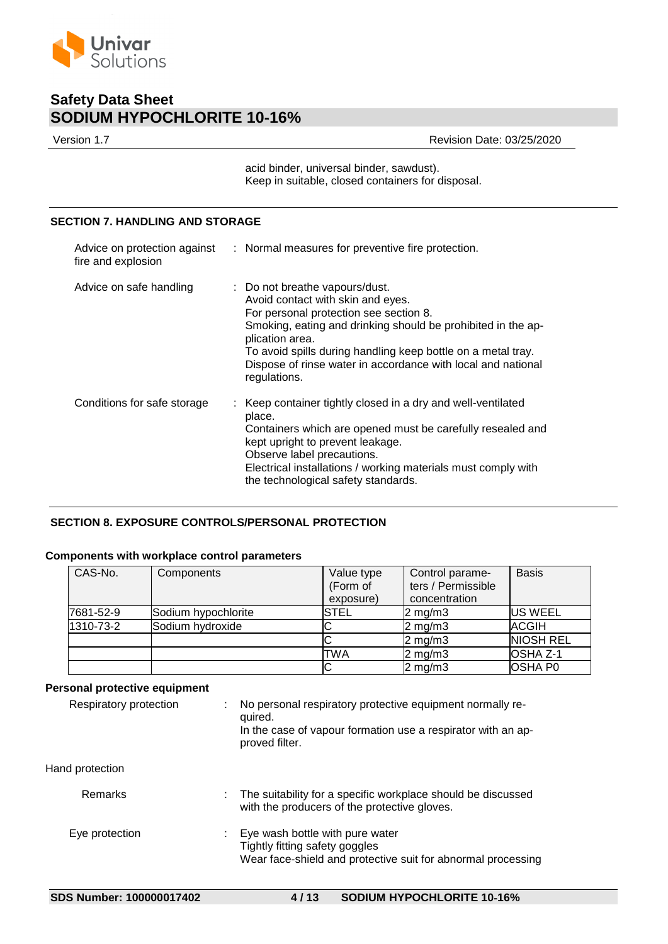

Version 1.7 Revision Date: 03/25/2020

acid binder, universal binder, sawdust). Keep in suitable, closed containers for disposal.

# **SECTION 7. HANDLING AND STORAGE**

| fire and explosion          | Advice on protection against : Normal measures for preventive fire protection.                                                                                                                                                                                                                                                                   |  |
|-----------------------------|--------------------------------------------------------------------------------------------------------------------------------------------------------------------------------------------------------------------------------------------------------------------------------------------------------------------------------------------------|--|
| Advice on safe handling     | : Do not breathe vapours/dust.<br>Avoid contact with skin and eyes.<br>For personal protection see section 8.<br>Smoking, eating and drinking should be prohibited in the ap-<br>plication area.<br>To avoid spills during handling keep bottle on a metal tray.<br>Dispose of rinse water in accordance with local and national<br>regulations. |  |
| Conditions for safe storage | : Keep container tightly closed in a dry and well-ventilated<br>place.<br>Containers which are opened must be carefully resealed and<br>kept upright to prevent leakage.<br>Observe label precautions.<br>Electrical installations / working materials must comply with<br>the technological safety standards.                                   |  |

# **SECTION 8. EXPOSURE CONTROLS/PERSONAL PROTECTION**

## **Components with workplace control parameters**

| CAS-No.    | Components          | Value type<br>(Form of<br>exposure) | Control parame-<br>ters / Permissible<br>concentration | <b>Basis</b>     |
|------------|---------------------|-------------------------------------|--------------------------------------------------------|------------------|
| l7681-52-9 | Sodium hypochlorite | <b>STEL</b>                         | $2 \text{ mg/m}$                                       | <b>US WEEL</b>   |
| 1310-73-2  | Sodium hydroxide    |                                     | $2 \text{ mg/m}$ 3                                     | <b>ACGIH</b>     |
|            |                     |                                     | $2$ mg/m $3$                                           | <b>NIOSH REL</b> |
|            |                     | TWA                                 | $2 \text{ mg/m}$                                       | OSHA Z-1         |
|            |                     |                                     | $2$ mg/m $3$                                           | <b>OSHA P0</b>   |

# **Personal protective equipment**

| Respiratory protection | No personal respiratory protective equipment normally re-<br>quired.<br>In the case of vapour formation use a respirator with an ap-<br>proved filter. |  |
|------------------------|--------------------------------------------------------------------------------------------------------------------------------------------------------|--|
| Hand protection        |                                                                                                                                                        |  |
| Remarks                | The suitability for a specific workplace should be discussed<br>with the producers of the protective gloves.                                           |  |
| Eye protection         | Eye wash bottle with pure water<br>Tightly fitting safety goggles<br>Wear face-shield and protective suit for abnormal processing                      |  |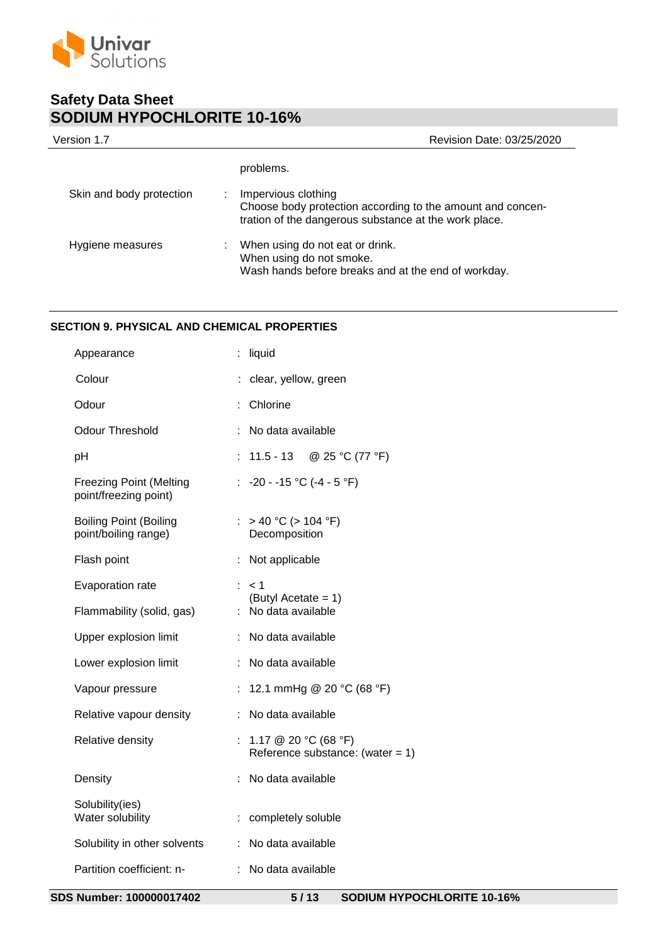

| Version 1.7              | Revision Date: 03/25/2020                                                                                                                  |
|--------------------------|--------------------------------------------------------------------------------------------------------------------------------------------|
|                          | problems.                                                                                                                                  |
| Skin and body protection | Impervious clothing<br>Choose body protection according to the amount and concen-<br>tration of the dangerous substance at the work place. |
| Hygiene measures         | When using do not eat or drink.<br>When using do not smoke.<br>Wash hands before breaks and at the end of workday.                         |

# **SECTION 9. PHYSICAL AND CHEMICAL PROPERTIES**

| Appearance                                              | liquid                                                        |
|---------------------------------------------------------|---------------------------------------------------------------|
| Colour                                                  | clear, yellow, green                                          |
| Odour                                                   | : Chlorine                                                    |
| <b>Odour Threshold</b>                                  | : No data available                                           |
| pH                                                      | : $11.5 - 13$ @ 25 °C (77 °F)                                 |
| <b>Freezing Point (Melting</b><br>point/freezing point) | : $-20 - -15$ °C ( $-4 - 5$ °F)                               |
| <b>Boiling Point (Boiling</b><br>point/boiling range)   | : > 40 °C (> 104 °F)<br>Decomposition                         |
| Flash point                                             | : Not applicable                                              |
| Evaporation rate                                        | $\therefore$ < 1<br>(Butyl Acetate = $1$ )                    |
| Flammability (solid, gas)                               | : No data available                                           |
| Upper explosion limit                                   | : No data available                                           |
| Lower explosion limit                                   | : No data available                                           |
| Vapour pressure                                         | : 12.1 mmHg @ 20 °C (68 °F)                                   |
| Relative vapour density                                 | : No data available                                           |
| Relative density                                        | : 1.17 @ 20 °C (68 °F)<br>Reference substance: (water = $1$ ) |
| Density                                                 | No data available                                             |
| Solubility(ies)<br>Water solubility                     | : completely soluble                                          |
| Solubility in other solvents                            | : No data available                                           |
| Partition coefficient: n-                               | : No data available                                           |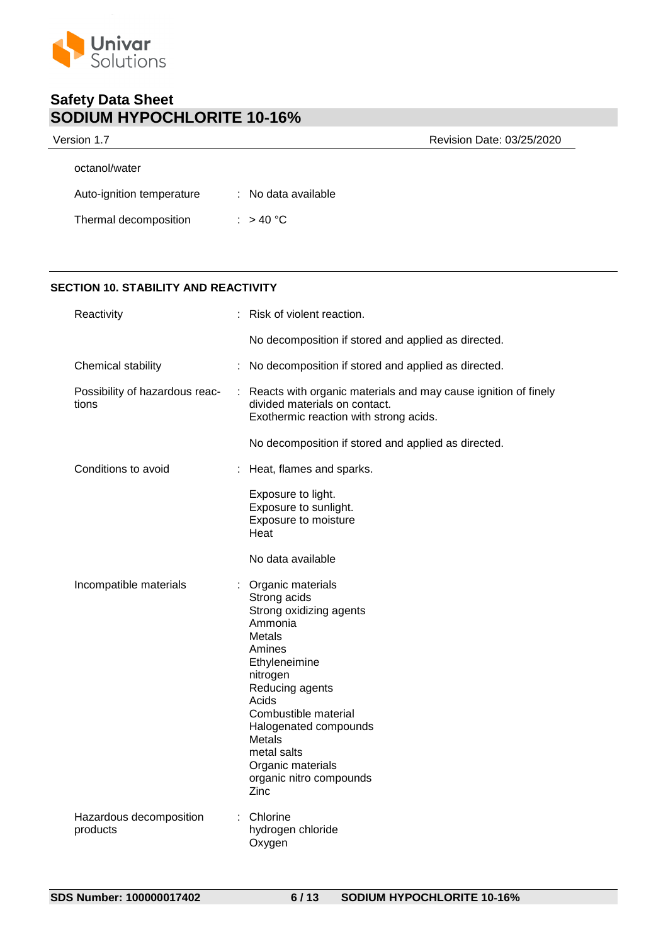

| Version 1.7               |                     | Revision Date: 03/25/2020 |
|---------------------------|---------------------|---------------------------|
| octanol/water             |                     |                           |
| Auto-ignition temperature | : No data available |                           |
| Thermal decomposition     | : $> 40 °C$         |                           |

# **SECTION 10. STABILITY AND REACTIVITY**

| Reactivity                              | Risk of violent reaction.                                                                                                                                                                                                                                                              |  |
|-----------------------------------------|----------------------------------------------------------------------------------------------------------------------------------------------------------------------------------------------------------------------------------------------------------------------------------------|--|
|                                         | No decomposition if stored and applied as directed.                                                                                                                                                                                                                                    |  |
| Chemical stability                      | No decomposition if stored and applied as directed.                                                                                                                                                                                                                                    |  |
| Possibility of hazardous reac-<br>tions | : Reacts with organic materials and may cause ignition of finely<br>divided materials on contact.<br>Exothermic reaction with strong acids.                                                                                                                                            |  |
|                                         | No decomposition if stored and applied as directed.                                                                                                                                                                                                                                    |  |
| Conditions to avoid                     | Heat, flames and sparks.                                                                                                                                                                                                                                                               |  |
|                                         | Exposure to light.<br>Exposure to sunlight.<br>Exposure to moisture<br>Heat                                                                                                                                                                                                            |  |
|                                         | No data available                                                                                                                                                                                                                                                                      |  |
| Incompatible materials                  | Organic materials<br>Strong acids<br>Strong oxidizing agents<br>Ammonia<br>Metals<br>Amines<br>Ethyleneimine<br>nitrogen<br>Reducing agents<br>Acids<br>Combustible material<br>Halogenated compounds<br>Metals<br>metal salts<br>Organic materials<br>organic nitro compounds<br>Zinc |  |
| Hazardous decomposition<br>products     | Chlorine<br>hydrogen chloride<br>Oxygen                                                                                                                                                                                                                                                |  |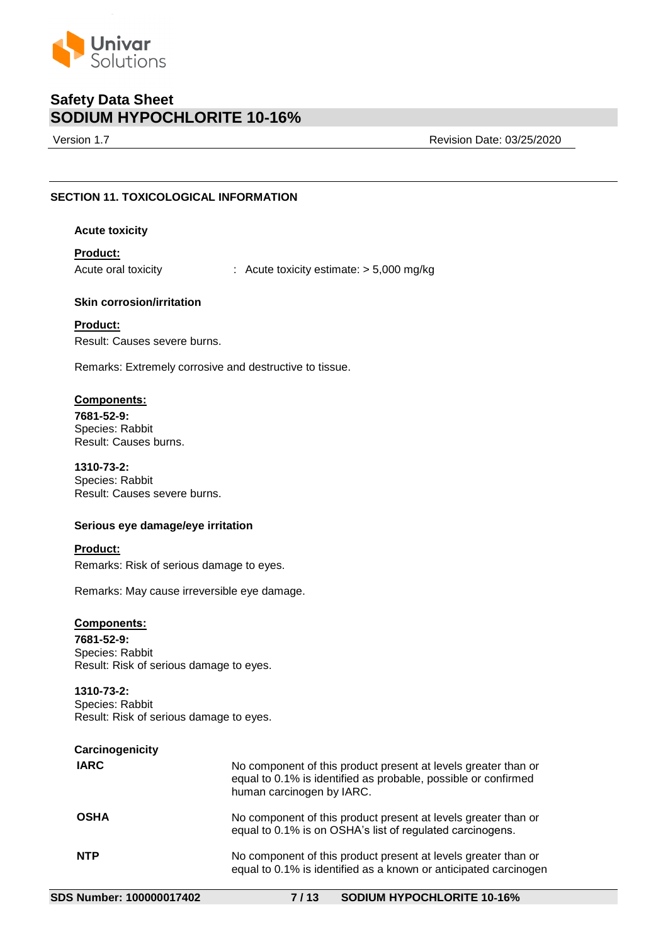

Version 1.7 Revision Date: 03/25/2020

# **SECTION 11. TOXICOLOGICAL INFORMATION**

## **Acute toxicity**

# **Product:**

Acute oral toxicity : Acute toxicity estimate: > 5,000 mg/kg

# **Skin corrosion/irritation**

**Product:** Result: Causes severe burns.

Remarks: Extremely corrosive and destructive to tissue.

## **Components:**

**7681-52-9:** Species: Rabbit Result: Causes burns.

**1310-73-2:** Species: Rabbit Result: Causes severe burns.

# **Serious eye damage/eye irritation**

### **Product:**

Remarks: Risk of serious damage to eyes.

Remarks: May cause irreversible eye damage.

## **Components:**

**7681-52-9:** Species: Rabbit Result: Risk of serious damage to eyes.

**1310-73-2:** Species: Rabbit Result: Risk of serious damage to eyes.

| Carcinogenicity |                                                                                                                                                               |
|-----------------|---------------------------------------------------------------------------------------------------------------------------------------------------------------|
| <b>IARC</b>     | No component of this product present at levels greater than or<br>equal to 0.1% is identified as probable, possible or confirmed<br>human carcinogen by IARC. |
| <b>OSHA</b>     | No component of this product present at levels greater than or<br>equal to 0.1% is on OSHA's list of regulated carcinogens.                                   |
| <b>NTP</b>      | No component of this product present at levels greater than or<br>equal to 0.1% is identified as a known or anticipated carcinogen                            |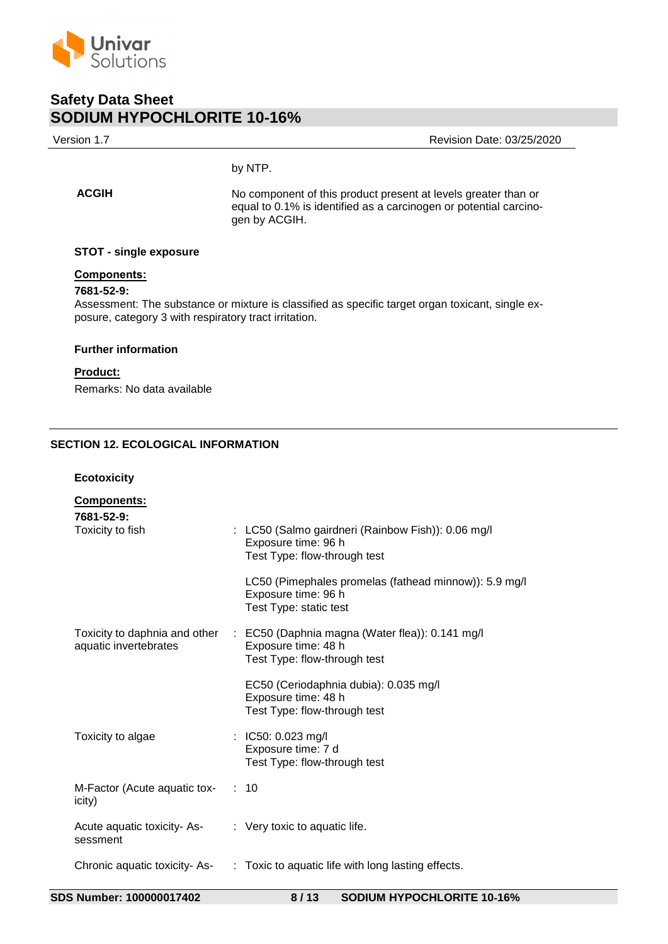

ision Date: 03/25/2020

# by NTP.

**ACGIH** No component of this product present at levels greater than or equal to 0.1% is identified as a carcinogen or potential carcinogen by ACGIH.

## **STOT - single exposure**

# **Components:**

# **7681-52-9:**

Assessment: The substance or mixture is classified as specific target organ toxicant, single exposure, category 3 with respiratory tract irritation.

### **Further information**

# **Product:**

Remarks: No data available

# **SECTION 12. ECOLOGICAL INFORMATION**

**Ecotoxicity**

| <b>Components:</b>                      |                                                                                                                                      |
|-----------------------------------------|--------------------------------------------------------------------------------------------------------------------------------------|
| 7681-52-9:<br>Toxicity to fish          | : LC50 (Salmo gairdneri (Rainbow Fish)): 0.06 mg/l<br>Exposure time: 96 h<br>Test Type: flow-through test                            |
|                                         | LC50 (Pimephales promelas (fathead minnow)): 5.9 mg/l<br>Exposure time: 96 h<br>Test Type: static test                               |
| aquatic invertebrates                   | Toxicity to daphnia and other : EC50 (Daphnia magna (Water flea)): 0.141 mg/l<br>Exposure time: 48 h<br>Test Type: flow-through test |
|                                         | EC50 (Ceriodaphnia dubia): 0.035 mg/l<br>Exposure time: 48 h<br>Test Type: flow-through test                                         |
| Toxicity to algae                       | : IC50: $0.023 \text{ mg/l}$<br>Exposure time: 7 d<br>Test Type: flow-through test                                                   |
| M-Factor (Acute aquatic tox-<br>icity)  | : 10                                                                                                                                 |
| Acute aquatic toxicity- As-<br>sessment | $\therefore$ Very toxic to aquatic life.                                                                                             |
| Chronic aquatic toxicity- As-           | : Toxic to aquatic life with long lasting effects.                                                                                   |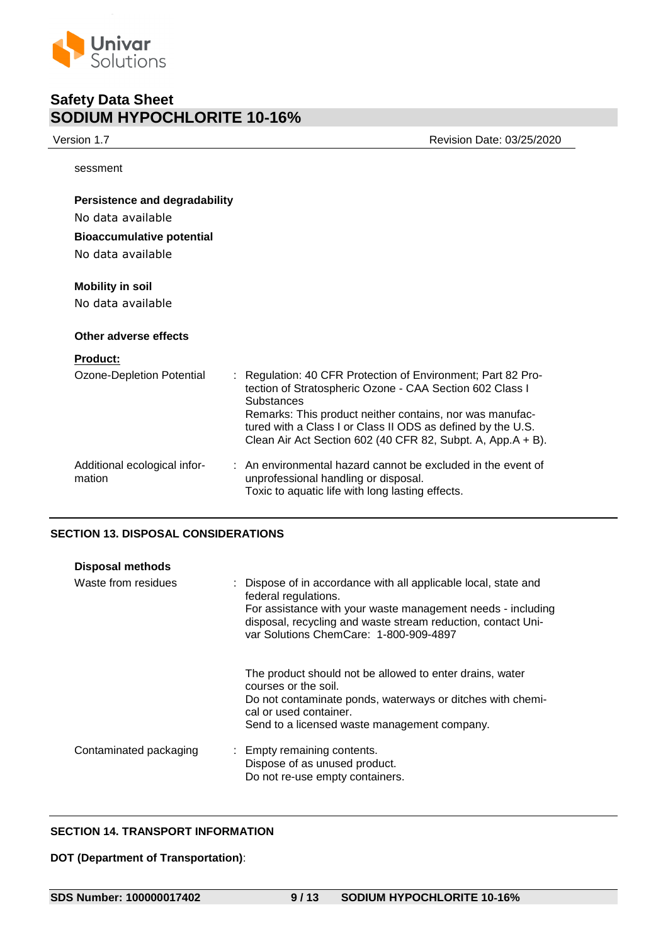

Version 1.7 Revision Date: 03/25/2020

sessment

| Persistence and degradability                |                                                                                                                                                                                                                                                                                                                                         |
|----------------------------------------------|-----------------------------------------------------------------------------------------------------------------------------------------------------------------------------------------------------------------------------------------------------------------------------------------------------------------------------------------|
| No data available                            |                                                                                                                                                                                                                                                                                                                                         |
| <b>Bioaccumulative potential</b>             |                                                                                                                                                                                                                                                                                                                                         |
| No data available                            |                                                                                                                                                                                                                                                                                                                                         |
| <b>Mobility in soil</b><br>No data available |                                                                                                                                                                                                                                                                                                                                         |
| Other adverse effects                        |                                                                                                                                                                                                                                                                                                                                         |
| <b>Product:</b>                              |                                                                                                                                                                                                                                                                                                                                         |
| Ozone-Depletion Potential                    | : Regulation: 40 CFR Protection of Environment; Part 82 Pro-<br>tection of Stratospheric Ozone - CAA Section 602 Class I<br><b>Substances</b><br>Remarks: This product neither contains, nor was manufac-<br>tured with a Class I or Class II ODS as defined by the U.S.<br>Clean Air Act Section 602 (40 CFR 82, Subpt. A, App.A + B). |
| Additional ecological infor-<br>mation       | : An environmental hazard cannot be excluded in the event of<br>unprofessional handling or disposal.<br>Toxic to aquatic life with long lasting effects.                                                                                                                                                                                |

# **SECTION 13. DISPOSAL CONSIDERATIONS**

| <b>Disposal methods</b> |                                                                                                                                                                                                                                                                  |
|-------------------------|------------------------------------------------------------------------------------------------------------------------------------------------------------------------------------------------------------------------------------------------------------------|
| Waste from residues     | : Dispose of in accordance with all applicable local, state and<br>federal regulations.<br>For assistance with your waste management needs - including<br>disposal, recycling and waste stream reduction, contact Uni-<br>var Solutions ChemCare: 1-800-909-4897 |
|                         | The product should not be allowed to enter drains, water<br>courses or the soil.<br>Do not contaminate ponds, waterways or ditches with chemi-<br>cal or used container.<br>Send to a licensed waste management company.                                         |
| Contaminated packaging  | : Empty remaining contents.<br>Dispose of as unused product.<br>Do not re-use empty containers.                                                                                                                                                                  |

# **SECTION 14. TRANSPORT INFORMATION**

**DOT (Department of Transportation)**: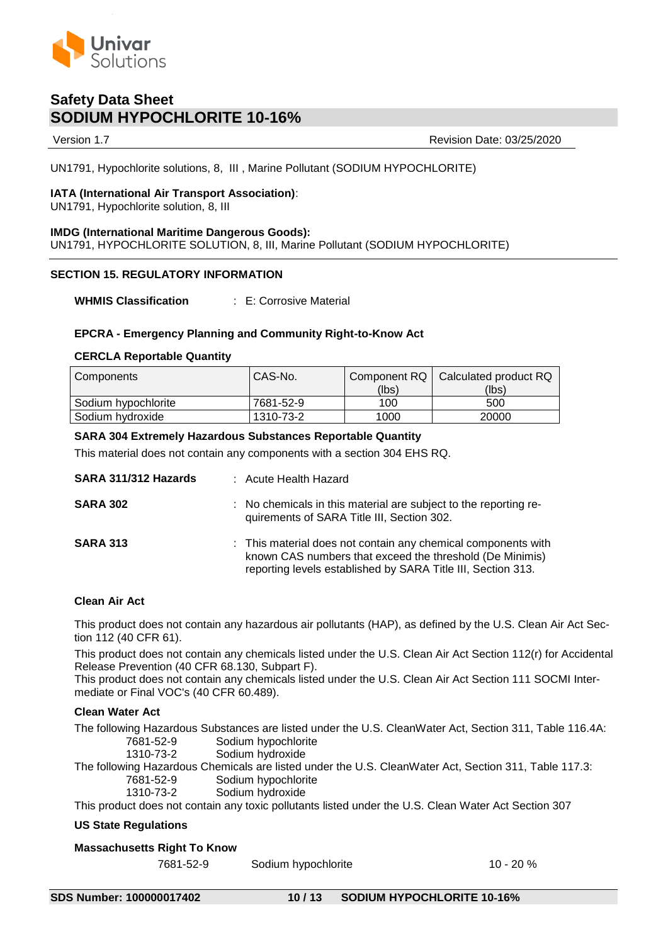

Version 1.7 Revision Date: 03/25/2020

UN1791, Hypochlorite solutions, 8, III , Marine Pollutant (SODIUM HYPOCHLORITE)

# **IATA (International Air Transport Association)**:

UN1791, Hypochlorite solution, 8, III

# **IMDG (International Maritime Dangerous Goods):**

UN1791, HYPOCHLORITE SOLUTION, 8, III, Marine Pollutant (SODIUM HYPOCHLORITE)

# **SECTION 15. REGULATORY INFORMATION**

**WHMIS Classification** : E: Corrosive Material

# **EPCRA - Emergency Planning and Community Right-to-Know Act**

### **CERCLA Reportable Quantity**

| Components          | CAS-No.   |       | Component RQ   Calculated product RQ |
|---------------------|-----------|-------|--------------------------------------|
|                     |           | (lbs) | (lbs)                                |
| Sodium hypochlorite | 7681-52-9 | 100   | 500                                  |
| Sodium hydroxide    | 1310-73-2 | 1000  | 20000                                |

## **SARA 304 Extremely Hazardous Substances Reportable Quantity**

This material does not contain any components with a section 304 EHS RQ.

| SARA 311/312 Hazards | : Acute Health Hazard                                                                                                                                                                     |
|----------------------|-------------------------------------------------------------------------------------------------------------------------------------------------------------------------------------------|
| <b>SARA 302</b>      | : No chemicals in this material are subject to the reporting re-<br>quirements of SARA Title III, Section 302.                                                                            |
| <b>SARA 313</b>      | : This material does not contain any chemical components with<br>known CAS numbers that exceed the threshold (De Minimis)<br>reporting levels established by SARA Title III, Section 313. |

### **Clean Air Act**

This product does not contain any hazardous air pollutants (HAP), as defined by the U.S. Clean Air Act Section 112 (40 CFR 61).

This product does not contain any chemicals listed under the U.S. Clean Air Act Section 112(r) for Accidental Release Prevention (40 CFR 68.130, Subpart F).

This product does not contain any chemicals listed under the U.S. Clean Air Act Section 111 SOCMI Intermediate or Final VOC's (40 CFR 60.489).

### **Clean Water Act**

The following Hazardous Substances are listed under the U.S. CleanWater Act, Section 311, Table 116.4A: 7681-52-9 Sodium hypochlorite 1310-73-2 Sodium hydroxide The following Hazardous Chemicals are listed under the U.S. CleanWater Act, Section 311, Table 117.3: 7681-52-9 Sodium hypochlorite 1310-73-2 Sodium hydroxide This product does not contain any toxic pollutants listed under the U.S. Clean Water Act Section 307

### **US State Regulations**

# **Massachusetts Right To Know**

7681-52-9 Sodium hypochlorite 10 - 20 %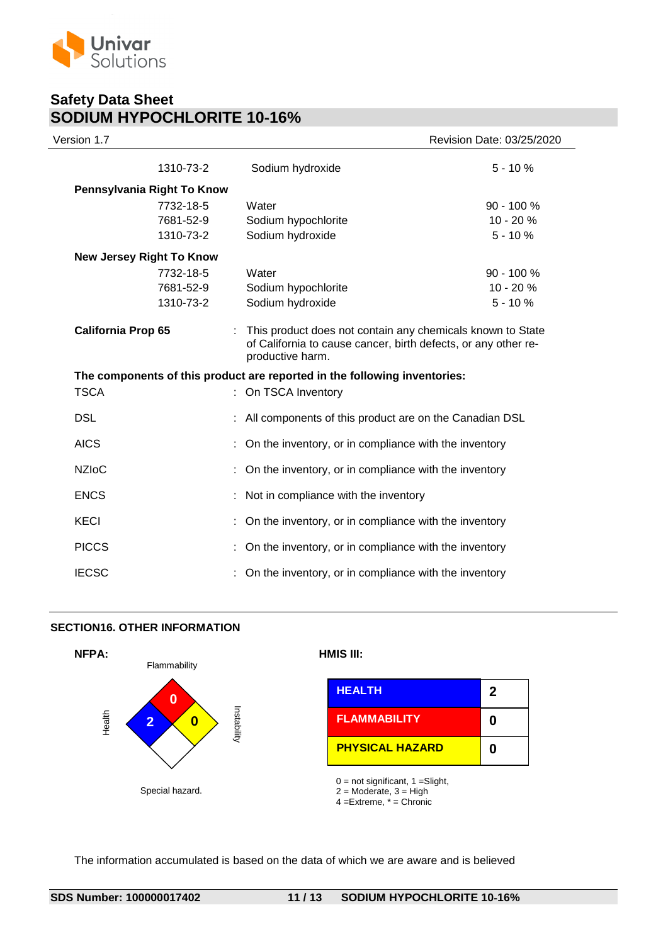

| Version 1.7               |                                 |                                                                                                                                                  | Revision Date: 03/25/2020 |
|---------------------------|---------------------------------|--------------------------------------------------------------------------------------------------------------------------------------------------|---------------------------|
|                           | 1310-73-2                       | Sodium hydroxide                                                                                                                                 | $5 - 10%$                 |
|                           | Pennsylvania Right To Know      |                                                                                                                                                  |                           |
|                           | 7732-18-5                       | Water                                                                                                                                            | $90 - 100 %$              |
|                           | 7681-52-9                       | Sodium hypochlorite                                                                                                                              | 10 - 20 %                 |
|                           | 1310-73-2                       | Sodium hydroxide                                                                                                                                 | $5 - 10%$                 |
|                           | <b>New Jersey Right To Know</b> |                                                                                                                                                  |                           |
|                           | 7732-18-5                       | Water                                                                                                                                            | $90 - 100 %$              |
|                           | 7681-52-9                       | Sodium hypochlorite                                                                                                                              | 10 - 20 %                 |
|                           | 1310-73-2                       | Sodium hydroxide                                                                                                                                 | $5 - 10%$                 |
| <b>California Prop 65</b> |                                 | This product does not contain any chemicals known to State<br>of California to cause cancer, birth defects, or any other re-<br>productive harm. |                           |
|                           |                                 | The components of this product are reported in the following inventories:                                                                        |                           |
| <b>TSCA</b>               |                                 | On TSCA Inventory                                                                                                                                |                           |
| <b>DSL</b>                |                                 | All components of this product are on the Canadian DSL                                                                                           |                           |
| <b>AICS</b>               |                                 | : On the inventory, or in compliance with the inventory                                                                                          |                           |
| <b>NZIoC</b>              |                                 | On the inventory, or in compliance with the inventory                                                                                            |                           |
| <b>ENCS</b>               |                                 | : Not in compliance with the inventory                                                                                                           |                           |
| <b>KECI</b>               |                                 | On the inventory, or in compliance with the inventory                                                                                            |                           |
| <b>PICCS</b>              |                                 | : On the inventory, or in compliance with the inventory                                                                                          |                           |
| <b>IECSC</b>              |                                 | On the inventory, or in compliance with the inventory                                                                                            |                           |
|                           |                                 |                                                                                                                                                  |                           |

## **SECTION16. OTHER INFORMATION**



|                     | <b>HEALTH</b>          |  |
|---------------------|------------------------|--|
| ū.<br>O<br>tability | <b>FLAMMABILITY</b>    |  |
|                     | <b>PHYSICAL HAZARD</b> |  |

 $0 =$  not significant, 1 = Slight,

 $2 =$  Moderate,  $3 =$  High

 $4 =$ Extreme,  $* =$  Chronic

The information accumulated is based on the data of which we are aware and is believed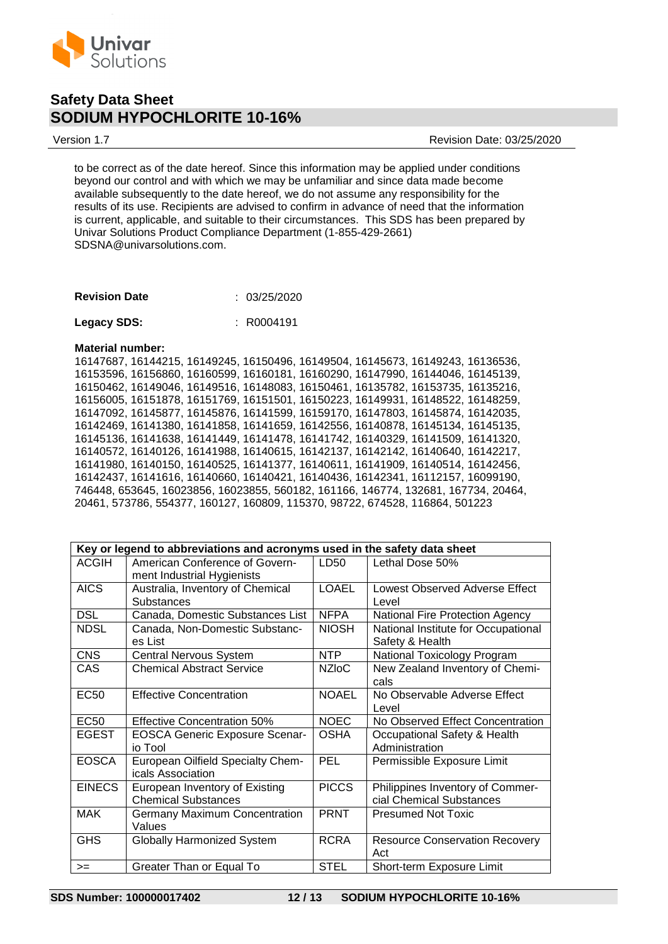

Version 1.7 Revision Date: 03/25/2020

to be correct as of the date hereof. Since this information may be applied under conditions beyond our control and with which we may be unfamiliar and since data made become available subsequently to the date hereof, we do not assume any responsibility for the results of its use. Recipients are advised to confirm in advance of need that the information is current, applicable, and suitable to their circumstances. This SDS has been prepared by Univar Solutions Product Compliance Department (1-855-429-2661) SDSNA@univarsolutions.com.

| <b>Revision Date</b> | : 03/25/2020 |
|----------------------|--------------|
|                      |              |

| <b>Legacy SDS:</b> |  | : R0004191 |
|--------------------|--|------------|
|--------------------|--|------------|

#### **Material number:**

16147687, 16144215, 16149245, 16150496, 16149504, 16145673, 16149243, 16136536, 16153596, 16156860, 16160599, 16160181, 16160290, 16147990, 16144046, 16145139, 16150462, 16149046, 16149516, 16148083, 16150461, 16135782, 16153735, 16135216, 16156005, 16151878, 16151769, 16151501, 16150223, 16149931, 16148522, 16148259, 16147092, 16145877, 16145876, 16141599, 16159170, 16147803, 16145874, 16142035, 16142469, 16141380, 16141858, 16141659, 16142556, 16140878, 16145134, 16145135, 16145136, 16141638, 16141449, 16141478, 16141742, 16140329, 16141509, 16141320, 16140572, 16140126, 16141988, 16140615, 16142137, 16142142, 16140640, 16142217, 16141980, 16140150, 16140525, 16141377, 16140611, 16141909, 16140514, 16142456, 16142437, 16141616, 16140660, 16140421, 16140436, 16142341, 16112157, 16099190, 746448, 653645, 16023856, 16023855, 560182, 161166, 146774, 132681, 167734, 20464, 20461, 573786, 554377, 160127, 160809, 115370, 98722, 674528, 116864, 501223

| Key or legend to abbreviations and acronyms used in the safety data sheet |                                       |                    |                                       |  |  |
|---------------------------------------------------------------------------|---------------------------------------|--------------------|---------------------------------------|--|--|
| <b>ACGIH</b>                                                              | American Conference of Govern-        | LD50               | Lethal Dose 50%                       |  |  |
|                                                                           | ment Industrial Hygienists            |                    |                                       |  |  |
| <b>AICS</b>                                                               | Australia, Inventory of Chemical      | <b>LOAEL</b>       | Lowest Observed Adverse Effect        |  |  |
|                                                                           | <b>Substances</b>                     |                    | Level                                 |  |  |
| <b>DSL</b>                                                                | Canada, Domestic Substances List      | <b>NFPA</b>        | National Fire Protection Agency       |  |  |
| <b>NDSL</b>                                                               | Canada, Non-Domestic Substanc-        | <b>NIOSH</b>       | National Institute for Occupational   |  |  |
|                                                                           | es List                               |                    | Safety & Health                       |  |  |
| <b>CNS</b>                                                                | <b>Central Nervous System</b>         | <b>NTP</b>         | National Toxicology Program           |  |  |
| CAS                                                                       | <b>Chemical Abstract Service</b>      | NZI <sub>O</sub> C | New Zealand Inventory of Chemi-       |  |  |
|                                                                           |                                       |                    | cals                                  |  |  |
| EC <sub>50</sub>                                                          | <b>Effective Concentration</b>        | <b>NOAEL</b>       | No Observable Adverse Effect          |  |  |
|                                                                           |                                       |                    | Level                                 |  |  |
| <b>EC50</b>                                                               | Effective Concentration 50%           | <b>NOEC</b>        | No Observed Effect Concentration      |  |  |
| <b>EGEST</b>                                                              | <b>EOSCA Generic Exposure Scenar-</b> | <b>OSHA</b>        | Occupational Safety & Health          |  |  |
|                                                                           | io Tool                               |                    | Administration                        |  |  |
| <b>EOSCA</b>                                                              | European Oilfield Specialty Chem-     | <b>PEL</b>         | Permissible Exposure Limit            |  |  |
|                                                                           | icals Association                     |                    |                                       |  |  |
| <b>EINECS</b>                                                             | European Inventory of Existing        | <b>PICCS</b>       | Philippines Inventory of Commer-      |  |  |
|                                                                           | <b>Chemical Substances</b>            |                    | cial Chemical Substances              |  |  |
| <b>MAK</b>                                                                | Germany Maximum Concentration         | <b>PRNT</b>        | <b>Presumed Not Toxic</b>             |  |  |
|                                                                           | Values                                |                    |                                       |  |  |
| <b>GHS</b>                                                                | Globally Harmonized System            | <b>RCRA</b>        | <b>Resource Conservation Recovery</b> |  |  |
|                                                                           |                                       |                    | Act                                   |  |  |
| $>=$                                                                      | Greater Than or Equal To              | <b>STEL</b>        | Short-term Exposure Limit             |  |  |